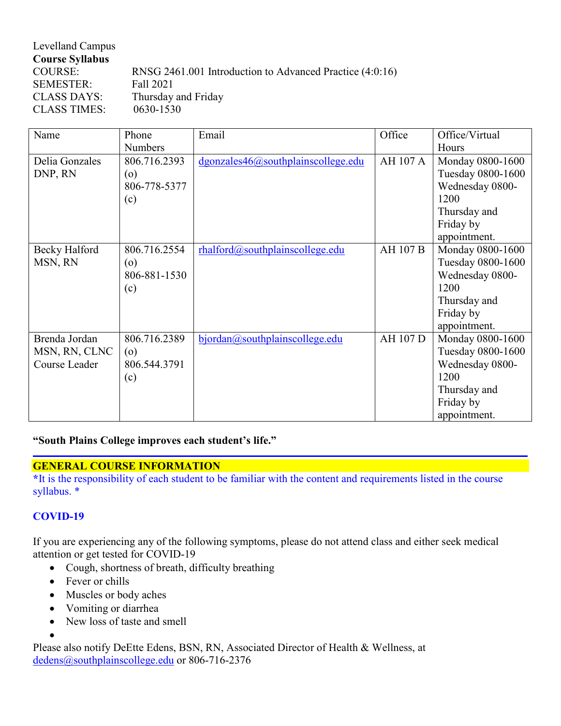| Levelland Campus       |                                                          |
|------------------------|----------------------------------------------------------|
| <b>Course Syllabus</b> |                                                          |
| COURSE:                | RNSG 2461.001 Introduction to Advanced Practice (4:0:16) |
| <b>SEMESTER:</b>       | Fall 2021                                                |
| <b>CLASS DAYS:</b>     | Thursday and Friday                                      |
| <b>CLASS TIMES:</b>    | 0630-1530                                                |

| Name           | Phone          | Email                                     | Office          | Office/Virtual    |
|----------------|----------------|-------------------------------------------|-----------------|-------------------|
|                | <b>Numbers</b> |                                           |                 | Hours             |
| Delia Gonzales | 806.716.2393   | $d$ gonzales $46@$ southplainscollege.edu | AH 107 A        | Monday 0800-1600  |
| DNP, RN        | (o)            |                                           |                 | Tuesday 0800-1600 |
|                | 806-778-5377   |                                           |                 | Wednesday 0800-   |
|                | (c)            |                                           |                 | 1200              |
|                |                |                                           |                 | Thursday and      |
|                |                |                                           |                 | Friday by         |
|                |                |                                           |                 | appointment.      |
| Becky Halford  | 806.716.2554   | rhalford@southplainscollege.edu           | <b>AH 107 B</b> | Monday 0800-1600  |
| MSN, RN        | $\circ$        |                                           |                 | Tuesday 0800-1600 |
|                | 806-881-1530   |                                           |                 | Wednesday 0800-   |
|                | (c)            |                                           |                 | 1200              |
|                |                |                                           |                 | Thursday and      |
|                |                |                                           |                 | Friday by         |
|                |                |                                           |                 | appointment.      |
| Brenda Jordan  | 806.716.2389   | bjordan@southplainscollege.edu            | AH 107 D        | Monday 0800-1600  |
| MSN, RN, CLNC  | $\circ$        |                                           |                 | Tuesday 0800-1600 |
| Course Leader  | 806.544.3791   |                                           |                 | Wednesday 0800-   |
|                | (c)            |                                           |                 | 1200              |
|                |                |                                           |                 | Thursday and      |
|                |                |                                           |                 | Friday by         |
|                |                |                                           |                 | appointment.      |

**"South Plains College improves each student's life."**

## **GENERAL COURSE INFORMATION**

**\***It is the responsibility of each student to be familiar with the content and requirements listed in the course syllabus. \*

# **COVID-19**

•

If you are experiencing any of the following symptoms, please do not attend class and either seek medical attention or get tested for COVID-19

- Cough, shortness of breath, difficulty breathing
- Fever or chills
- Muscles or body aches
- Vomiting or diarrhea
- New loss of taste and smell

Please also notify DeEtte Edens, BSN, RN, Associated Director of Health & Wellness, at [dedens@southplainscollege.edu](about:blank) or 806-716-2376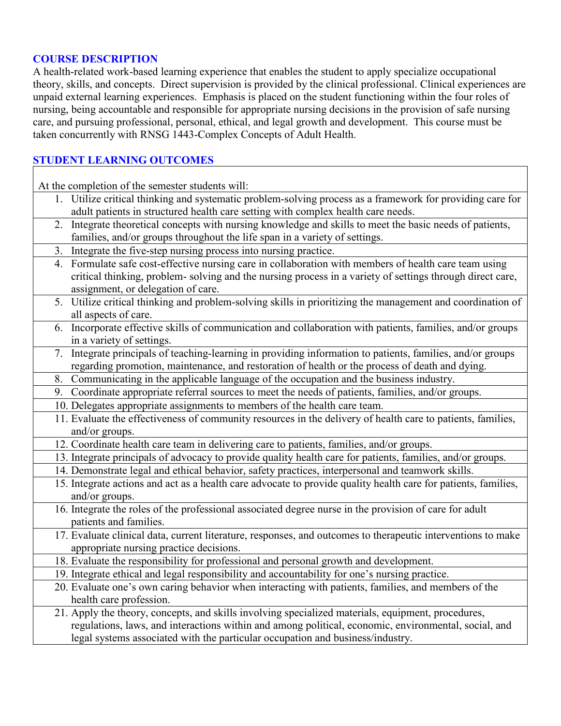### **COURSE DESCRIPTION**

A health-related work-based learning experience that enables the student to apply specialize occupational theory, skills, and concepts. Direct supervision is provided by the clinical professional. Clinical experiences are unpaid external learning experiences. Emphasis is placed on the student functioning within the four roles of nursing, being accountable and responsible for appropriate nursing decisions in the provision of safe nursing care, and pursuing professional, personal, ethical, and legal growth and development. This course must be taken concurrently with RNSG 1443-Complex Concepts of Adult Health.

# **STUDENT LEARNING OUTCOMES**

At the completion of the semester students will:

- 1. Utilize critical thinking and systematic problem-solving process as a framework for providing care for adult patients in structured health care setting with complex health care needs.
- 2. Integrate theoretical concepts with nursing knowledge and skills to meet the basic needs of patients, families, and/or groups throughout the life span in a variety of settings.
- 3. Integrate the five-step nursing process into nursing practice.
- 4. Formulate safe cost-effective nursing care in collaboration with members of health care team using critical thinking, problem- solving and the nursing process in a variety of settings through direct care, assignment, or delegation of care.
- 5. Utilize critical thinking and problem-solving skills in prioritizing the management and coordination of all aspects of care.
- 6. Incorporate effective skills of communication and collaboration with patients, families, and/or groups in a variety of settings.
- 7. Integrate principals of teaching-learning in providing information to patients, families, and/or groups regarding promotion, maintenance, and restoration of health or the process of death and dying.
- 8. Communicating in the applicable language of the occupation and the business industry.
- 9. Coordinate appropriate referral sources to meet the needs of patients, families, and/or groups.
- 10. Delegates appropriate assignments to members of the health care team.
- 11. Evaluate the effectiveness of community resources in the delivery of health care to patients, families, and/or groups.
- 12. Coordinate health care team in delivering care to patients, families, and/or groups.
- 13. Integrate principals of advocacy to provide quality health care for patients, families, and/or groups.
- 14. Demonstrate legal and ethical behavior, safety practices, interpersonal and teamwork skills.
- 15. Integrate actions and act as a health care advocate to provide quality health care for patients, families, and/or groups.
- 16. Integrate the roles of the professional associated degree nurse in the provision of care for adult patients and families.
- 17. Evaluate clinical data, current literature, responses, and outcomes to therapeutic interventions to make appropriate nursing practice decisions.
- 18. Evaluate the responsibility for professional and personal growth and development.
- 19. Integrate ethical and legal responsibility and accountability for one's nursing practice.
- 20. Evaluate one's own caring behavior when interacting with patients, families, and members of the health care profession.

### 21. Apply the theory, concepts, and skills involving specialized materials, equipment, procedures, regulations, laws, and interactions within and among political, economic, environmental, social, and legal systems associated with the particular occupation and business/industry.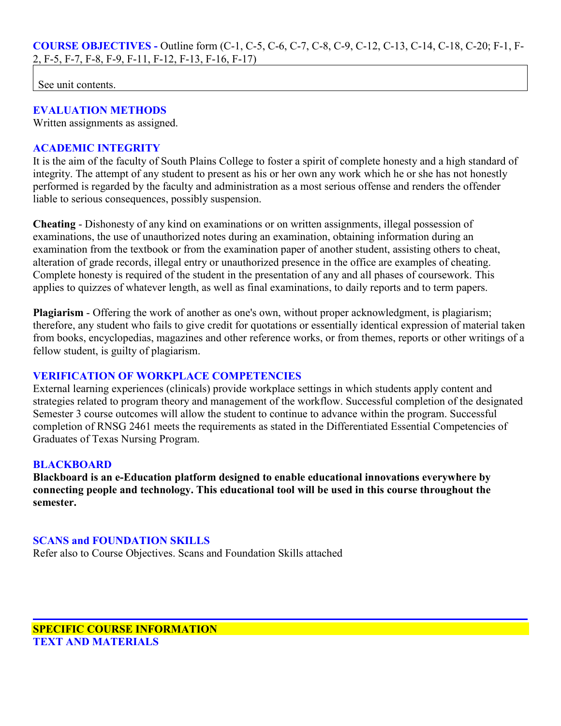See unit contents.

## **EVALUATION METHODS**

Written assignments as assigned.

### **ACADEMIC INTEGRITY**

It is the aim of the faculty of South Plains College to foster a spirit of complete honesty and a high standard of integrity. The attempt of any student to present as his or her own any work which he or she has not honestly performed is regarded by the faculty and administration as a most serious offense and renders the offender liable to serious consequences, possibly suspension.

**Cheating** - Dishonesty of any kind on examinations or on written assignments, illegal possession of examinations, the use of unauthorized notes during an examination, obtaining information during an examination from the textbook or from the examination paper of another student, assisting others to cheat, alteration of grade records, illegal entry or unauthorized presence in the office are examples of cheating. Complete honesty is required of the student in the presentation of any and all phases of coursework. This applies to quizzes of whatever length, as well as final examinations, to daily reports and to term papers.

**Plagiarism** - Offering the work of another as one's own, without proper acknowledgment, is plagiarism; therefore, any student who fails to give credit for quotations or essentially identical expression of material taken from books, encyclopedias, magazines and other reference works, or from themes, reports or other writings of a fellow student, is guilty of plagiarism.

## **VERIFICATION OF WORKPLACE COMPETENCIES**

External learning experiences (clinicals) provide workplace settings in which students apply content and strategies related to program theory and management of the workflow. Successful completion of the designated Semester 3 course outcomes will allow the student to continue to advance within the program. Successful completion of RNSG 2461 meets the requirements as stated in the Differentiated Essential Competencies of Graduates of Texas Nursing Program.

#### **BLACKBOARD**

**Blackboard is an e-Education platform designed to enable educational innovations everywhere by connecting people and technology. This educational tool will be used in this course throughout the semester.** 

#### **SCANS and FOUNDATION SKILLS**

Refer also to Course Objectives. Scans and Foundation Skills attached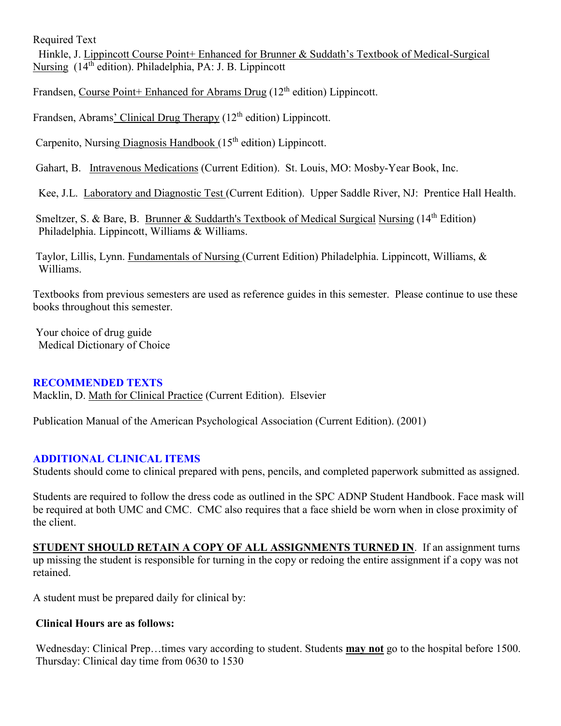Required Text

 Hinkle, J. Lippincott Course Point+ Enhanced for Brunner & Suddath's Textbook of Medical-Surgical Nursing (14th edition). Philadelphia, PA: J. B. Lippincott

Frandsen, Course Point+ Enhanced for Abrams Drug  $(12<sup>th</sup>$  edition) Lippincott.

Frandsen, Abrams' Clinical Drug Therapy (12<sup>th</sup> edition) Lippincott.

Carpenito, Nursing Diagnosis Handbook  $(15<sup>th</sup>$  edition) Lippincott.

Gahart, B. Intravenous Medications (Current Edition). St. Louis, MO: Mosby-Year Book, Inc.

Kee, J.L. Laboratory and Diagnostic Test (Current Edition). Upper Saddle River, NJ: Prentice Hall Health.

Smeltzer, S. & Bare, B. Brunner & Suddarth's Textbook of Medical Surgical Nursing (14<sup>th</sup> Edition) Philadelphia. Lippincott, Williams & Williams.

Taylor, Lillis, Lynn. Fundamentals of Nursing (Current Edition) Philadelphia. Lippincott, Williams, & Williams.

Textbooks from previous semesters are used as reference guides in this semester. Please continue to use these books throughout this semester.

Your choice of drug guide Medical Dictionary of Choice

#### **RECOMMENDED TEXTS**

Macklin, D. Math for Clinical Practice (Current Edition). Elsevier

Publication Manual of the American Psychological Association (Current Edition). (2001)

## **ADDITIONAL CLINICAL ITEMS**

Students should come to clinical prepared with pens, pencils, and completed paperwork submitted as assigned.

Students are required to follow the dress code as outlined in the SPC ADNP Student Handbook. Face mask will be required at both UMC and CMC. CMC also requires that a face shield be worn when in close proximity of the client.

**STUDENT SHOULD RETAIN A COPY OF ALL ASSIGNMENTS TURNED IN**. If an assignment turns up missing the student is responsible for turning in the copy or redoing the entire assignment if a copy was not retained.

A student must be prepared daily for clinical by:

#### **Clinical Hours are as follows:**

Wednesday: Clinical Prep…times vary according to student. Students **may not** go to the hospital before 1500. Thursday: Clinical day time from 0630 to 1530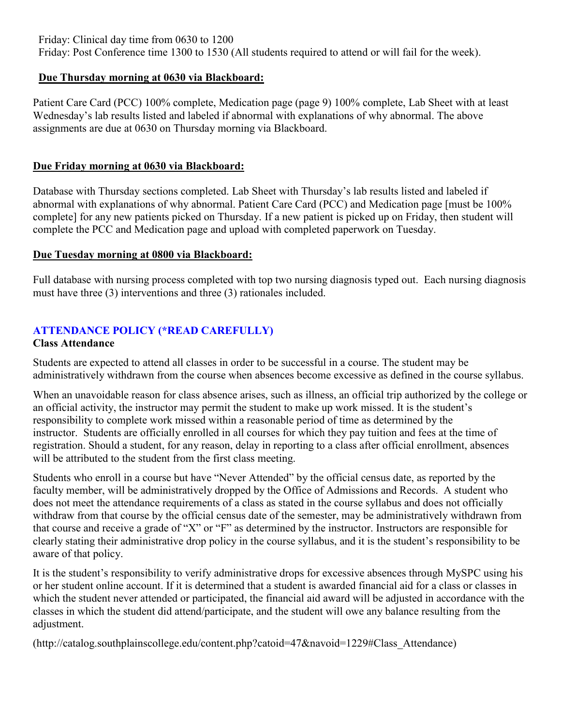Friday: Clinical day time from 0630 to 1200

Friday: Post Conference time 1300 to 1530 (All students required to attend or will fail for the week).

## **Due Thursday morning at 0630 via Blackboard:**

Patient Care Card (PCC) 100% complete, Medication page (page 9) 100% complete, Lab Sheet with at least Wednesday's lab results listed and labeled if abnormal with explanations of why abnormal. The above assignments are due at 0630 on Thursday morning via Blackboard.

## **Due Friday morning at 0630 via Blackboard:**

Database with Thursday sections completed. Lab Sheet with Thursday's lab results listed and labeled if abnormal with explanations of why abnormal. Patient Care Card (PCC) and Medication page [must be 100% complete] for any new patients picked on Thursday. If a new patient is picked up on Friday, then student will complete the PCC and Medication page and upload with completed paperwork on Tuesday.

## **Due Tuesday morning at 0800 via Blackboard:**

Full database with nursing process completed with top two nursing diagnosis typed out. Each nursing diagnosis must have three (3) interventions and three (3) rationales included.

# **ATTENDANCE POLICY (\*READ CAREFULLY)**

## **Class Attendance**

Students are expected to attend all classes in order to be successful in a course. The student may be administratively withdrawn from the course when absences become excessive as defined in the course syllabus.

When an unavoidable reason for class absence arises, such as illness, an official trip authorized by the college or an official activity, the instructor may permit the student to make up work missed. It is the student's responsibility to complete work missed within a reasonable period of time as determined by the instructor. Students are officially enrolled in all courses for which they pay tuition and fees at the time of registration. Should a student, for any reason, delay in reporting to a class after official enrollment, absences will be attributed to the student from the first class meeting.

Students who enroll in a course but have "Never Attended" by the official census date, as reported by the faculty member, will be administratively dropped by the Office of Admissions and Records. A student who does not meet the attendance requirements of a class as stated in the course syllabus and does not officially withdraw from that course by the official census date of the semester, may be administratively withdrawn from that course and receive a grade of "X" or "F" as determined by the instructor. Instructors are responsible for clearly stating their administrative drop policy in the course syllabus, and it is the student's responsibility to be aware of that policy.

It is the student's responsibility to verify administrative drops for excessive absences through MySPC using his or her student online account. If it is determined that a student is awarded financial aid for a class or classes in which the student never attended or participated, the financial aid award will be adjusted in accordance with the classes in which the student did attend/participate, and the student will owe any balance resulting from the adjustment.

(http://catalog.southplainscollege.edu/content.php?catoid=47&navoid=1229#Class\_Attendance)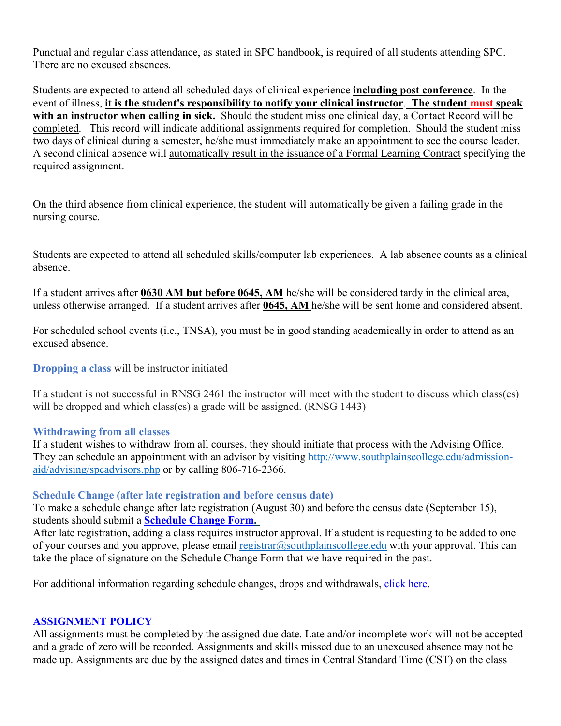Punctual and regular class attendance, as stated in SPC handbook, is required of all students attending SPC. There are no excused absences.

Students are expected to attend all scheduled days of clinical experience **including post conference**. In the event of illness, **it is the student's responsibility to notify your clinical instructor**. **The student must speak with an instructor when calling in sick.** Should the student miss one clinical day, a Contact Record will be completed. This record will indicate additional assignments required for completion. Should the student miss two days of clinical during a semester, he/she must immediately make an appointment to see the course leader. A second clinical absence will automatically result in the issuance of a Formal Learning Contract specifying the required assignment.

On the third absence from clinical experience, the student will automatically be given a failing grade in the nursing course.

Students are expected to attend all scheduled skills/computer lab experiences. A lab absence counts as a clinical absence.

If a student arrives after **0630 AM but before 0645, AM** he/she will be considered tardy in the clinical area, unless otherwise arranged. If a student arrives after **0645, AM** he/she will be sent home and considered absent.

For scheduled school events (i.e., TNSA), you must be in good standing academically in order to attend as an excused absence.

**Dropping a class** will be instructor initiated

If a student is not successful in RNSG 2461 the instructor will meet with the student to discuss which class(es) will be dropped and which class(es) a grade will be assigned. (RNSG 1443)

#### **Withdrawing from all classes**

If a student wishes to withdraw from all courses, they should initiate that process with the Advising Office. They can schedule an appointment with an advisor by visiting [http://www.southplainscollege.edu/admission](about:blank)[aid/advising/spcadvisors.php](about:blank) or by calling 806-716-2366.

## **Schedule Change (after late registration and before census date)**

To make a schedule change after late registration (August 30) and before the census date (September 15), students should submit a **[Schedule](about:blank) Change Form.**

After late registration, adding a class requires instructor approval. If a student is requesting to be added to one of your courses and you approve, please email [registrar@southplainscollege.edu](about:blank) with your approval. This can take the place of signature on the Schedule Change Form that we have required in the past.

For additional information regarding schedule changes, drops and withdrawals, [click](about:blank) here.

#### **ASSIGNMENT POLICY**

All assignments must be completed by the assigned due date. Late and/or incomplete work will not be accepted and a grade of zero will be recorded. Assignments and skills missed due to an unexcused absence may not be made up. Assignments are due by the assigned dates and times in Central Standard Time (CST) on the class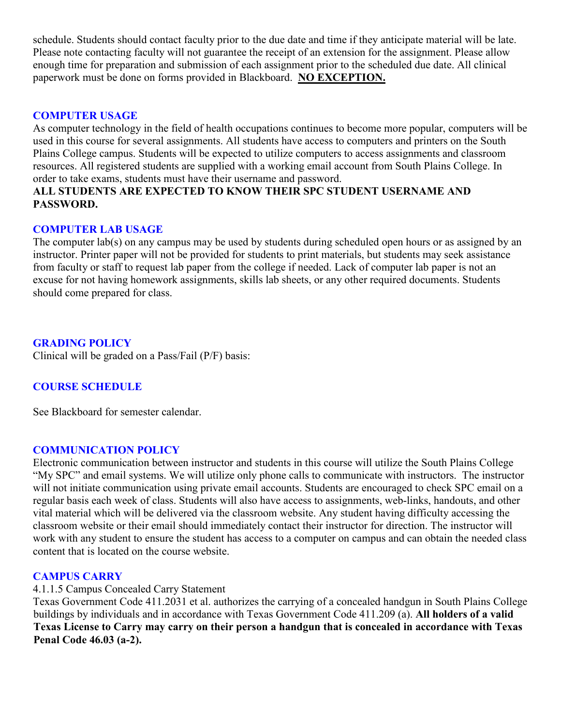schedule. Students should contact faculty prior to the due date and time if they anticipate material will be late. Please note contacting faculty will not guarantee the receipt of an extension for the assignment. Please allow enough time for preparation and submission of each assignment prior to the scheduled due date. All clinical paperwork must be done on forms provided in Blackboard. **NO EXCEPTION.** 

### **COMPUTER USAGE**

As computer technology in the field of health occupations continues to become more popular, computers will be used in this course for several assignments. All students have access to computers and printers on the South Plains College campus. Students will be expected to utilize computers to access assignments and classroom resources. All registered students are supplied with a working email account from South Plains College. In order to take exams, students must have their username and password.

## **ALL STUDENTS ARE EXPECTED TO KNOW THEIR SPC STUDENT USERNAME AND PASSWORD.**

#### **COMPUTER LAB USAGE**

The computer lab(s) on any campus may be used by students during scheduled open hours or as assigned by an instructor. Printer paper will not be provided for students to print materials, but students may seek assistance from faculty or staff to request lab paper from the college if needed. Lack of computer lab paper is not an excuse for not having homework assignments, skills lab sheets, or any other required documents. Students should come prepared for class.

### **GRADING POLICY**

Clinical will be graded on a Pass/Fail (P/F) basis:

## **COURSE SCHEDULE**

See Blackboard for semester calendar.

#### **COMMUNICATION POLICY**

Electronic communication between instructor and students in this course will utilize the South Plains College "My SPC" and email systems. We will utilize only phone calls to communicate with instructors. The instructor will not initiate communication using private email accounts. Students are encouraged to check SPC email on a regular basis each week of class. Students will also have access to assignments, web-links, handouts, and other vital material which will be delivered via the classroom website. Any student having difficulty accessing the classroom website or their email should immediately contact their instructor for direction. The instructor will work with any student to ensure the student has access to a computer on campus and can obtain the needed class content that is located on the course website.

### **CAMPUS CARRY**

#### 4.1.1.5 Campus Concealed Carry Statement

Texas Government Code 411.2031 et al. authorizes the carrying of a concealed handgun in South Plains College buildings by individuals and in accordance with Texas Government Code 411.209 (a). **All holders of a valid** Texas License to Carry may carry on their person a handgun that is concealed in accordance with Texas **Penal Code 46.03 (a-2).**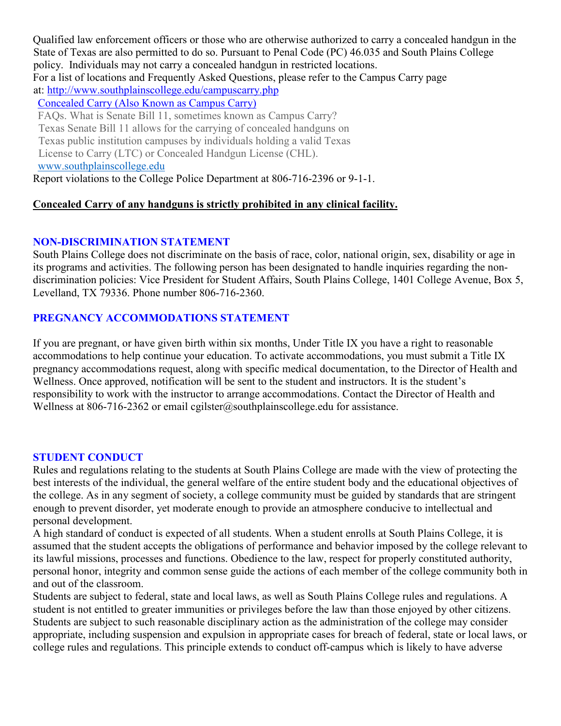Qualified law enforcement officers or those who are otherwise authorized to carry a concealed handgun in the State of Texas are also permitted to do so. Pursuant to Penal Code (PC) 46.035 and South Plains College policy. Individuals may not carry a concealed handgun in restricted locations. For a list of locations and Frequently Asked Questions, please refer to the Campus Carry page at: [http://www.southplainscollege.edu/campuscarry.php](about:blank) [Concealed](about:blank) Carry (Also Known as Campus Carry) FAQs. What is Senate Bill 11, sometimes known as Campus Carry? Texas Senate Bill 11 allows for the carrying of concealed handguns on Texas public institution campuses by individuals holding a valid Texas License to Carry (LTC) or Concealed Handgun License (CHL). www.southplainscollege.edu Report violations to the College Police Department at 806-716-2396 or 9-1-1.

# **Concealed Carry of any handguns is strictly prohibited in any clinical facility.**

# **NON-DISCRIMINATION STATEMENT**

South Plains College does not discriminate on the basis of race, color, national origin, sex, disability or age in its programs and activities. The following person has been designated to handle inquiries regarding the nondiscrimination policies: Vice President for Student Affairs, South Plains College, 1401 College Avenue, Box 5, Levelland, TX 79336. Phone number 806-716-2360.

# **PREGNANCY ACCOMMODATIONS STATEMENT**

If you are pregnant, or have given birth within six months, Under Title IX you have a right to reasonable accommodations to help continue your education. To activate accommodations, you must submit a Title IX pregnancy accommodations request, along with specific medical documentation, to the Director of Health and Wellness. Once approved, notification will be sent to the student and instructors. It is the student's responsibility to work with the instructor to arrange accommodations. Contact the Director of Health and Wellness at 806-716-2362 or email cgilster@southplainscollege.edu for assistance.

# **STUDENT CONDUCT**

Rules and regulations relating to the students at South Plains College are made with the view of protecting the best interests of the individual, the general welfare of the entire student body and the educational objectives of the college. As in any segment of society, a college community must be guided by standards that are stringent enough to prevent disorder, yet moderate enough to provide an atmosphere conducive to intellectual and personal development.

A high standard of conduct is expected of all students. When a student enrolls at South Plains College, it is assumed that the student accepts the obligations of performance and behavior imposed by the college relevant to its lawful missions, processes and functions. Obedience to the law, respect for properly constituted authority, personal honor, integrity and common sense guide the actions of each member of the college community both in and out of the classroom.

Students are subject to federal, state and local laws, as well as South Plains College rules and regulations. A student is not entitled to greater immunities or privileges before the law than those enjoyed by other citizens. Students are subject to such reasonable disciplinary action as the administration of the college may consider appropriate, including suspension and expulsion in appropriate cases for breach of federal, state or local laws, or college rules and regulations. This principle extends to conduct off-campus which is likely to have adverse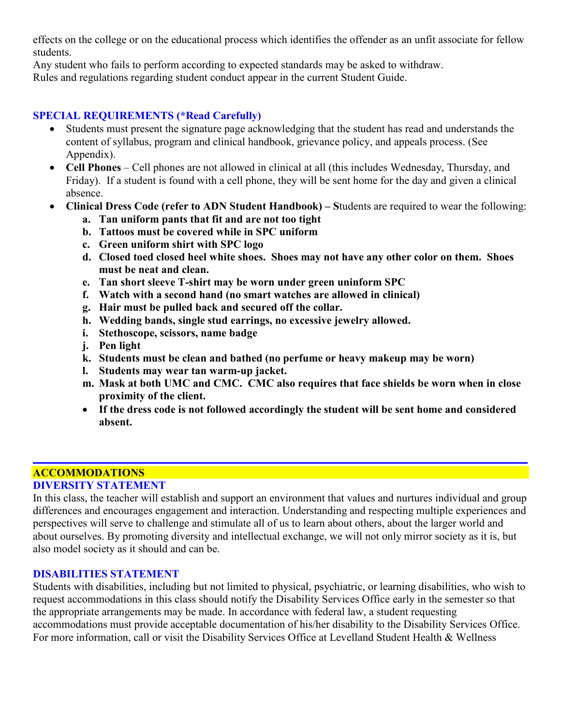effects on the college or on the educational process which identifies the offender as an unfit associate for fellow students.

Any student who fails to perform according to expected standards may be asked to withdraw. Rules and regulations regarding student conduct appear in the current Student Guide.

## **SPECIAL REQUIREMENTS (\*Read Carefully)**

- Students must present the signature page acknowledging that the student has read and understands the content of syllabus, program and clinical handbook, grievance policy, and appeals process. (See Appendix).
- **Cell Phones** Cell phones are not allowed in clinical at all (this includes Wednesday, Thursday, and Friday). If a student is found with a cell phone, they will be sent home for the day and given a clinical absence.
- **Clinical Dress Code (refer to ADN Student Handbook) – S**tudents are required to wear the following:
	- **a. Tan uniform pants that fit and are not too tight**
	- **b. Tattoos must be covered while in SPC uniform**
	- **c. Green uniform shirt with SPC logo**
	- **d. Closed toed closed heel white shoes. Shoes may not have any other color on them. Shoes must be neat and clean.**
	- **e. Tan short sleeve T-shirt may be worn under green uninform SPC**
	- **f. Watch with a second hand (no smart watches are allowed in clinical)**
	- **g. Hair must be pulled back and secured off the collar.**
	- **h. Wedding bands, single stud earrings, no excessive jewelry allowed.**
	- **i. Stethoscope, scissors, name badge**
	- **j. Pen light**
	- **k. Students must be clean and bathed (no perfume or heavy makeup may be worn)**
	- **l. Students may wear tan warm-up jacket.**
	- **m. Mask at both UMC and CMC. CMC also requires that face shields be worn when in close proximity of the client.**
	- **If the dress code is not followed accordingly the student will be sent home and considered absent.**

# **ACCOMMODATIONS**

# **DIVERSITY STATEMENT**

In this class, the teacher will establish and support an environment that values and nurtures individual and group differences and encourages engagement and interaction. Understanding and respecting multiple experiences and perspectives will serve to challenge and stimulate all of us to learn about others, about the larger world and about ourselves. By promoting diversity and intellectual exchange, we will not only mirror society as it is, but also model society as it should and can be.

## **DISABILITIES STATEMENT**

Students with disabilities, including but not limited to physical, psychiatric, or learning disabilities, who wish to request accommodations in this class should notify the Disability Services Office early in the semester so that the appropriate arrangements may be made. In accordance with federal law, a student requesting accommodations must provide acceptable documentation of his/her disability to the Disability Services Office. For more information, call or visit the Disability Services Office at Levelland Student Health & Wellness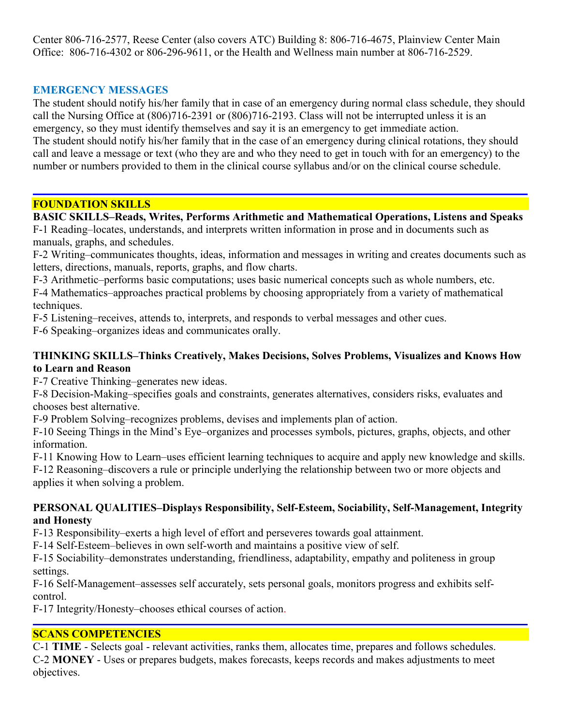Center 806-716-2577, Reese Center (also covers ATC) Building 8: 806-716-4675, Plainview Center Main Office: 806-716-4302 or 806-296-9611, or the Health and Wellness main number at 806-716-2529.

# **EMERGENCY MESSAGES**

The student should notify his/her family that in case of an emergency during normal class schedule, they should call the Nursing Office at (806)716-2391 or (806)716-2193. Class will not be interrupted unless it is an emergency, so they must identify themselves and say it is an emergency to get immediate action. The student should notify his/her family that in the case of an emergency during clinical rotations, they should call and leave a message or text (who they are and who they need to get in touch with for an emergency) to the number or numbers provided to them in the clinical course syllabus and/or on the clinical course schedule.

### **FOUNDATION SKILLS**

## **BASIC SKILLS–Reads, Writes, Performs Arithmetic and Mathematical Operations, Listens and Speaks**

F-1 Reading–locates, understands, and interprets written information in prose and in documents such as manuals, graphs, and schedules.

F-2 Writing–communicates thoughts, ideas, information and messages in writing and creates documents such as letters, directions, manuals, reports, graphs, and flow charts.

F-3 Arithmetic–performs basic computations; uses basic numerical concepts such as whole numbers, etc.

F-4 Mathematics–approaches practical problems by choosing appropriately from a variety of mathematical techniques.

F-5 Listening–receives, attends to, interprets, and responds to verbal messages and other cues.

F-6 Speaking–organizes ideas and communicates orally.

## **THINKING SKILLS–Thinks Creatively, Makes Decisions, Solves Problems, Visualizes and Knows How to Learn and Reason**

F-7 Creative Thinking–generates new ideas.

F-8 Decision-Making–specifies goals and constraints, generates alternatives, considers risks, evaluates and chooses best alternative.

F-9 Problem Solving–recognizes problems, devises and implements plan of action.

F-10 Seeing Things in the Mind's Eye–organizes and processes symbols, pictures, graphs, objects, and other information.

F-11 Knowing How to Learn–uses efficient learning techniques to acquire and apply new knowledge and skills. F-12 Reasoning–discovers a rule or principle underlying the relationship between two or more objects and

applies it when solving a problem.

## **PERSONAL QUALITIES–Displays Responsibility, Self-Esteem, Sociability, Self-Management, Integrity and Honesty**

F-13 Responsibility–exerts a high level of effort and perseveres towards goal attainment.

F-14 Self-Esteem–believes in own self-worth and maintains a positive view of self.

F-15 Sociability–demonstrates understanding, friendliness, adaptability, empathy and politeness in group settings.

F-16 Self-Management–assesses self accurately, sets personal goals, monitors progress and exhibits selfcontrol.

F-17 Integrity/Honesty–chooses ethical courses of action.

## **SCANS COMPETENCIES**

C-1 **TIME** - Selects goal - relevant activities, ranks them, allocates time, prepares and follows schedules. C-2 **MONEY** - Uses or prepares budgets, makes forecasts, keeps records and makes adjustments to meet objectives.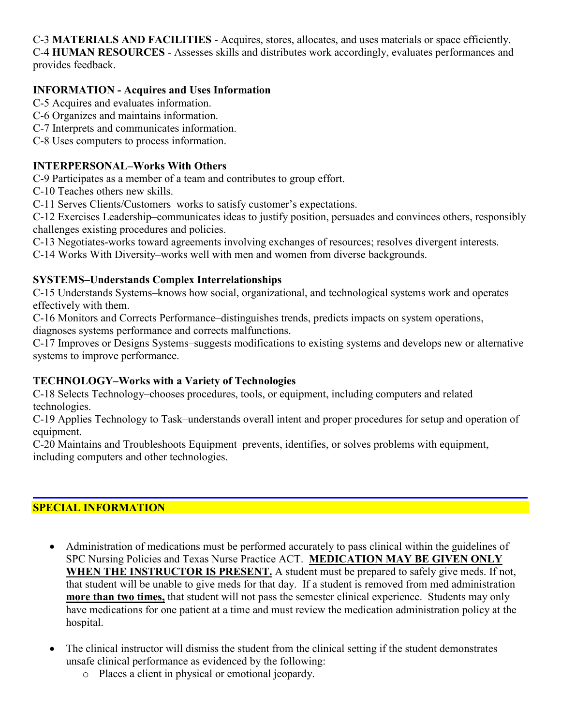C-3 **MATERIALS AND FACILITIES** - Acquires, stores, allocates, and uses materials or space efficiently. C-4 **HUMAN RESOURCES** - Assesses skills and distributes work accordingly, evaluates performances and provides feedback.

# **INFORMATION - Acquires and Uses Information**

- C-5 Acquires and evaluates information.
- C-6 Organizes and maintains information.
- C-7 Interprets and communicates information.
- C-8 Uses computers to process information.

## **INTERPERSONAL–Works With Others**

C-9 Participates as a member of a team and contributes to group effort.

C-10 Teaches others new skills.

C-11 Serves Clients/Customers–works to satisfy customer's expectations.

C-12 Exercises Leadership–communicates ideas to justify position, persuades and convinces others, responsibly challenges existing procedures and policies.

C-13 Negotiates-works toward agreements involving exchanges of resources; resolves divergent interests.

C-14 Works With Diversity–works well with men and women from diverse backgrounds.

# **SYSTEMS–Understands Complex Interrelationships**

C-15 Understands Systems–knows how social, organizational, and technological systems work and operates effectively with them.

C-16 Monitors and Corrects Performance–distinguishes trends, predicts impacts on system operations,

diagnoses systems performance and corrects malfunctions.

C-17 Improves or Designs Systems–suggests modifications to existing systems and develops new or alternative systems to improve performance.

# **TECHNOLOGY–Works with a Variety of Technologies**

C-18 Selects Technology–chooses procedures, tools, or equipment, including computers and related technologies.

C-19 Applies Technology to Task–understands overall intent and proper procedures for setup and operation of equipment.

C-20 Maintains and Troubleshoots Equipment–prevents, identifies, or solves problems with equipment, including computers and other technologies.

# **SPECIAL INFORMATION**

- Administration of medications must be performed accurately to pass clinical within the guidelines of SPC Nursing Policies and Texas Nurse Practice ACT. **MEDICATION MAY BE GIVEN ONLY WHEN THE INSTRUCTOR IS PRESENT.** A student must be prepared to safely give meds. If not, that student will be unable to give meds for that day. If a student is removed from med administration **more than two times,** that student will not pass the semester clinical experience. Students may only have medications for one patient at a time and must review the medication administration policy at the hospital.
- The clinical instructor will dismiss the student from the clinical setting if the student demonstrates unsafe clinical performance as evidenced by the following:
	- o Places a client in physical or emotional jeopardy.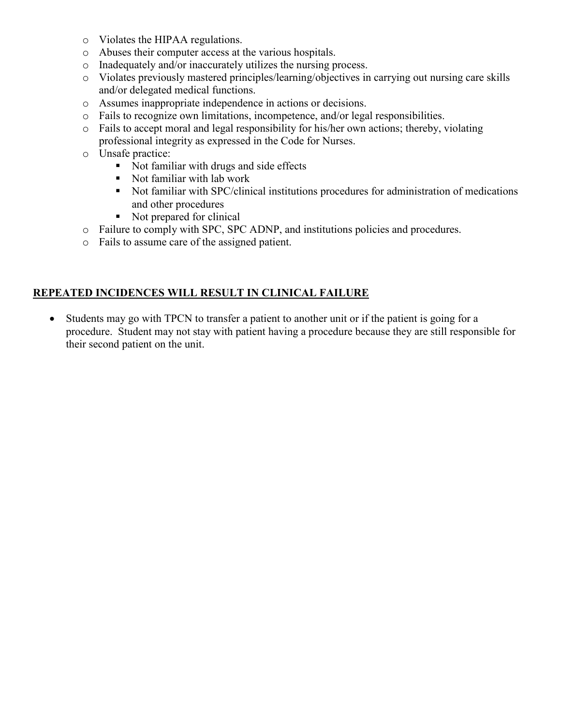- o Violates the HIPAA regulations.
- o Abuses their computer access at the various hospitals.
- o Inadequately and/or inaccurately utilizes the nursing process.
- o Violates previously mastered principles/learning/objectives in carrying out nursing care skills and/or delegated medical functions.
- o Assumes inappropriate independence in actions or decisions.
- o Fails to recognize own limitations, incompetence, and/or legal responsibilities.
- o Fails to accept moral and legal responsibility for his/her own actions; thereby, violating professional integrity as expressed in the Code for Nurses.
- o Unsafe practice:
	- Not familiar with drugs and side effects
	- Not familiar with lab work
	- Not familiar with SPC/clinical institutions procedures for administration of medications and other procedures
	- Not prepared for clinical
- o Failure to comply with SPC, SPC ADNP, and institutions policies and procedures.
- o Fails to assume care of the assigned patient.

## **REPEATED INCIDENCES WILL RESULT IN CLINICAL FAILURE**

• Students may go with TPCN to transfer a patient to another unit or if the patient is going for a procedure. Student may not stay with patient having a procedure because they are still responsible for their second patient on the unit.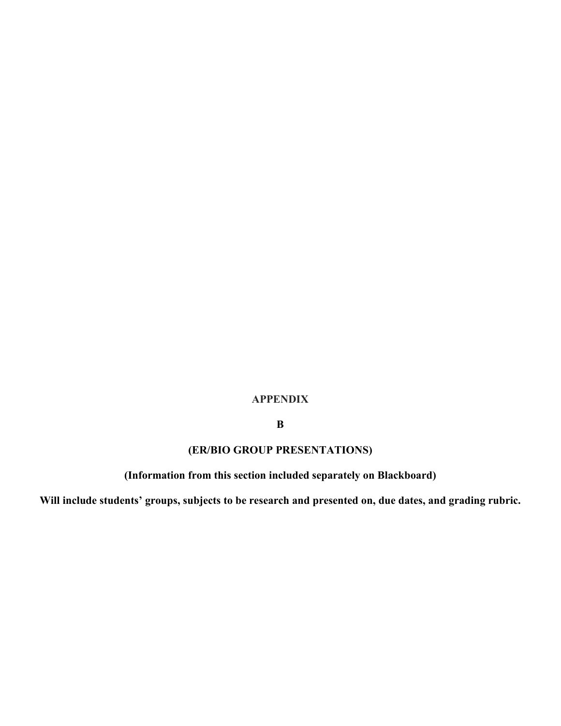## **APPENDIX**

# **B**

# **(ER/BIO GROUP PRESENTATIONS)**

# **(Information from this section included separately on Blackboard)**

**Will include students' groups, subjects to be research and presented on, due dates, and grading rubric.**